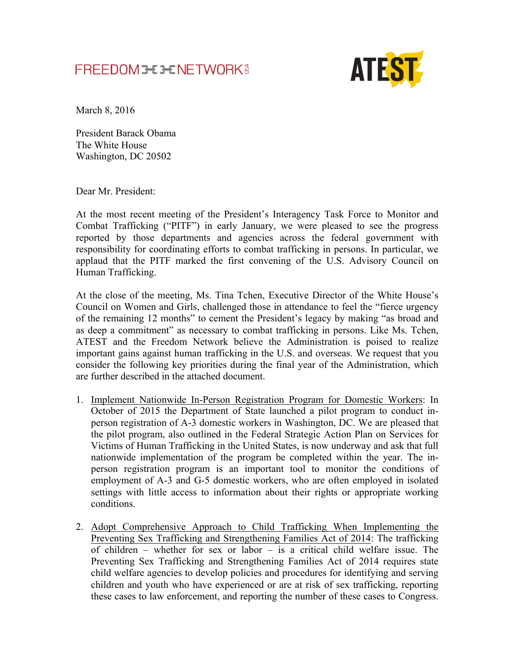## FREEDOM **3-C 3-C NETWORK** \$



March 8, 2016

President Barack Obama The White House Washington, DC 20502

Dear Mr. President:

At the most recent meeting of the President's Interagency Task Force to Monitor and Combat Trafficking ("PITF") in early January, we were pleased to see the progress reported by those departments and agencies across the federal government with responsibility for coordinating efforts to combat trafficking in persons. In particular, we applaud that the PITF marked the first convening of the U.S. Advisory Council on Human Trafficking.

At the close of the meeting, Ms. Tina Tchen, Executive Director of the White House's Council on Women and Girls, challenged those in attendance to feel the "fierce urgency of the remaining 12 months" to cement the President's legacy by making "as broad and as deep a commitment" as necessary to combat trafficking in persons. Like Ms. Tchen, ATEST and the Freedom Network believe the Administration is poised to realize important gains against human trafficking in the U.S. and overseas. We request that you consider the following key priorities during the final year of the Administration, which are further described in the attached document.

- 1. Implement Nationwide In-Person Registration Program for Domestic Workers: In October of 2015 the Department of State launched a pilot program to conduct inperson registration of A-3 domestic workers in Washington, DC. We are pleased that the pilot program, also outlined in the Federal Strategic Action Plan on Services for Victims of Human Trafficking in the United States, is now underway and ask that full nationwide implementation of the program be completed within the year. The inperson registration program is an important tool to monitor the conditions of employment of A-3 and G-5 domestic workers, who are often employed in isolated settings with little access to information about their rights or appropriate working conditions.
- 2. Adopt Comprehensive Approach to Child Trafficking When Implementing the Preventing Sex Trafficking and Strengthening Families Act of 2014: The trafficking of children – whether for sex or labor – is a critical child welfare issue. The Preventing Sex Trafficking and Strengthening Families Act of 2014 requires state child welfare agencies to develop policies and procedures for identifying and serving children and youth who have experienced or are at risk of sex trafficking, reporting these cases to law enforcement, and reporting the number of these cases to Congress.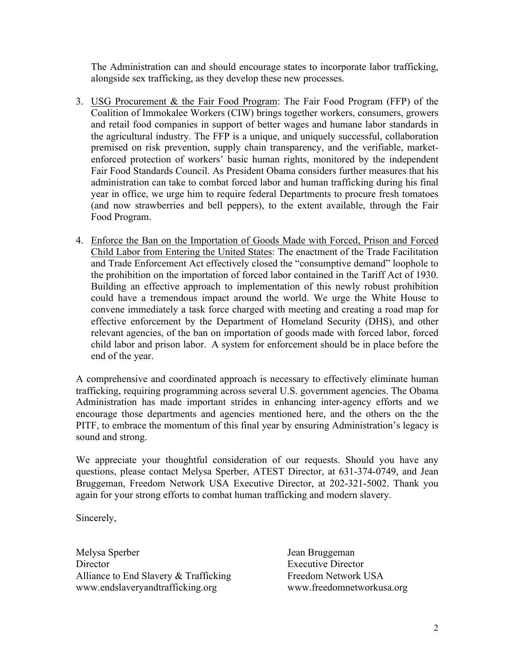The Administration can and should encourage states to incorporate labor trafficking, alongside sex trafficking, as they develop these new processes.

- 3. USG Procurement & the Fair Food Program: The Fair Food Program (FFP) of the Coalition of Immokalee Workers (CIW) brings together workers, consumers, growers and retail food companies in support of better wages and humane labor standards in the agricultural industry. The FFP is a unique, and uniquely successful, collaboration premised on risk prevention, supply chain transparency, and the verifiable, marketenforced protection of workers' basic human rights, monitored by the independent Fair Food Standards Council. As President Obama considers further measures that his administration can take to combat forced labor and human trafficking during his final year in office, we urge him to require federal Departments to procure fresh tomatoes (and now strawberries and bell peppers), to the extent available, through the Fair Food Program.
- 4. Enforce the Ban on the Importation of Goods Made with Forced, Prison and Forced Child Labor from Entering the United States: The enactment of the Trade Facilitation and Trade Enforcement Act effectively closed the "consumptive demand" loophole to the prohibition on the importation of forced labor contained in the Tariff Act of 1930. Building an effective approach to implementation of this newly robust prohibition could have a tremendous impact around the world. We urge the White House to convene immediately a task force charged with meeting and creating a road map for effective enforcement by the Department of Homeland Security (DHS), and other relevant agencies, of the ban on importation of goods made with forced labor, forced child labor and prison labor. A system for enforcement should be in place before the end of the year.

A comprehensive and coordinated approach is necessary to effectively eliminate human trafficking, requiring programming across several U.S. government agencies. The Obama Administration has made important strides in enhancing inter-agency efforts and we encourage those departments and agencies mentioned here, and the others on the the PITF, to embrace the momentum of this final year by ensuring Administration's legacy is sound and strong.

We appreciate your thoughtful consideration of our requests. Should you have any questions, please contact Melysa Sperber, ATEST Director, at 631-374-0749, and Jean Bruggeman, Freedom Network USA Executive Director, at 202-321-5002. Thank you again for your strong efforts to combat human trafficking and modern slavery.

Sincerely,

Melysa Sperber Jean Bruggeman Director Executive Director Alliance to End Slavery & Trafficking Freedom Network USA www.endslaveryandtrafficking.org www.freedomnetworkusa.org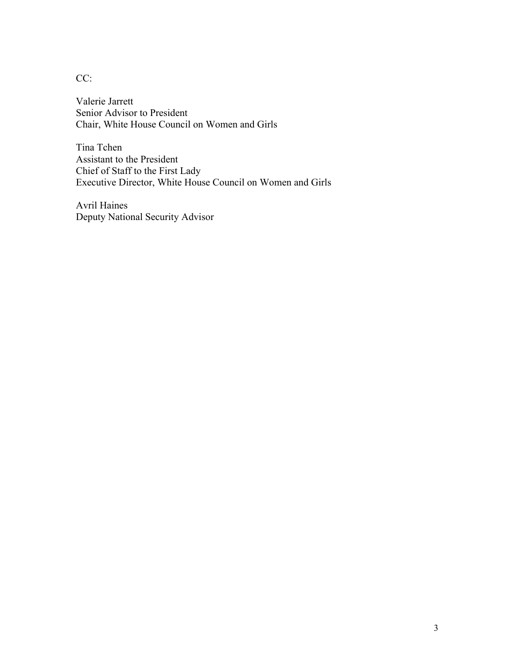CC:

Valerie Jarrett Senior Advisor to President Chair, White House Council on Women and Girls

Tina Tchen Assistant to the President Chief of Staff to the First Lady Executive Director, White House Council on Women and Girls

Avril Haines Deputy National Security Advisor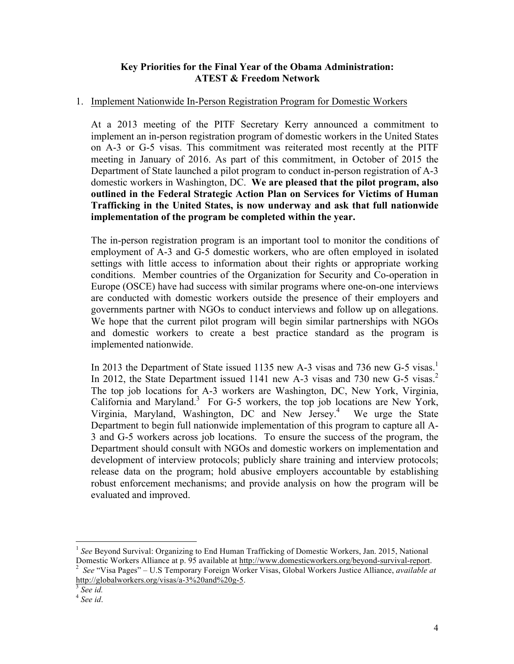## **Key Priorities for the Final Year of the Obama Administration: ATEST & Freedom Network**

## 1. Implement Nationwide In-Person Registration Program for Domestic Workers

At a 2013 meeting of the PITF Secretary Kerry announced a commitment to implement an in-person registration program of domestic workers in the United States on A-3 or G-5 visas. This commitment was reiterated most recently at the PITF meeting in January of 2016. As part of this commitment, in October of 2015 the Department of State launched a pilot program to conduct in-person registration of A-3 domestic workers in Washington, DC. **We are pleased that the pilot program, also outlined in the Federal Strategic Action Plan on Services for Victims of Human Trafficking in the United States, is now underway and ask that full nationwide implementation of the program be completed within the year.**

The in-person registration program is an important tool to monitor the conditions of employment of A-3 and G-5 domestic workers, who are often employed in isolated settings with little access to information about their rights or appropriate working conditions. Member countries of the Organization for Security and Co-operation in Europe (OSCE) have had success with similar programs where one-on-one interviews are conducted with domestic workers outside the presence of their employers and governments partner with NGOs to conduct interviews and follow up on allegations. We hope that the current pilot program will begin similar partnerships with NGOs and domestic workers to create a best practice standard as the program is implemented nationwide.

In 2013 the Department of State issued 1135 new A-3 visas and 736 new G-5 visas.<sup>1</sup> In 2012, the State Department issued 1141 new A-3 visas and 730 new G-5 visas.<sup>2</sup> The top job locations for A-3 workers are Washington, DC, New York, Virginia, California and Maryland.<sup>3</sup> For G-5 workers, the top job locations are New York, Virginia, Maryland, Washington, DC and New Jersey.<sup>4</sup> We urge the State Department to begin full nationwide implementation of this program to capture all A-3 and G-5 workers across job locations. To ensure the success of the program, the Department should consult with NGOs and domestic workers on implementation and development of interview protocols; publicly share training and interview protocols; release data on the program; hold abusive employers accountable by establishing robust enforcement mechanisms; and provide analysis on how the program will be evaluated and improved.

 <sup>1</sup> *See* Beyond Survival: Organizing to End Human Trafficking of Domestic Workers, Jan. 2015, National Domestic Workers Alliance at p. 95 available at http://www.domesticworkers.org/beyond-survival-report. 2

*See* "Visa Pages" – U.S Temporary Foreign Worker Visas, Global Workers Justice Alliance, *available at*  http://globalworkers.org/visas/a-3%20and%20g-5. <sup>3</sup> *See id.*

<sup>4</sup> *See id*.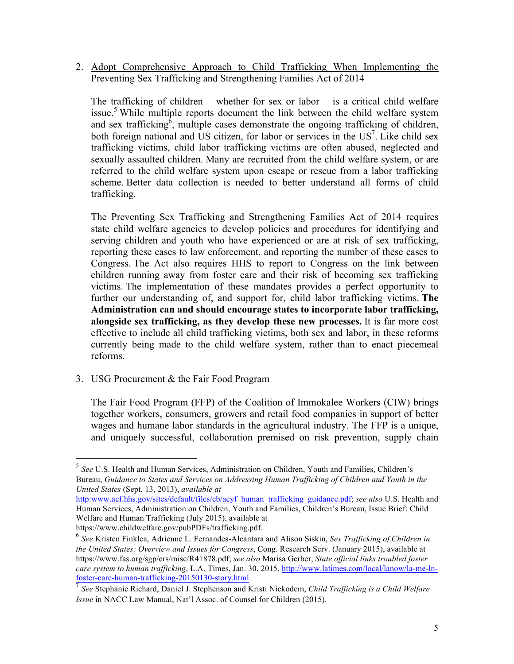2. Adopt Comprehensive Approach to Child Trafficking When Implementing the Preventing Sex Trafficking and Strengthening Families Act of 2014

The trafficking of children – whether for sex or labor – is a critical child welfare issue.<sup>5</sup> While multiple reports document the link between the child welfare system and sex trafficking<sup>6</sup>, multiple cases demonstrate the ongoing trafficking of children, both foreign national and US citizen, for labor or services in the  $US<sup>7</sup>$ . Like child sex trafficking victims, child labor trafficking victims are often abused, neglected and sexually assaulted children. Many are recruited from the child welfare system, or are referred to the child welfare system upon escape or rescue from a labor trafficking scheme. Better data collection is needed to better understand all forms of child trafficking.

The Preventing Sex Trafficking and Strengthening Families Act of 2014 requires state child welfare agencies to develop policies and procedures for identifying and serving children and youth who have experienced or are at risk of sex trafficking, reporting these cases to law enforcement, and reporting the number of these cases to Congress. The Act also requires HHS to report to Congress on the link between children running away from foster care and their risk of becoming sex trafficking victims. The implementation of these mandates provides a perfect opportunity to further our understanding of, and support for, child labor trafficking victims. **The Administration can and should encourage states to incorporate labor trafficking, alongside sex trafficking, as they develop these new processes.** It is far more cost effective to include all child trafficking victims, both sex and labor, in these reforms currently being made to the child welfare system, rather than to enact piecemeal reforms.

3. USG Procurement & the Fair Food Program

The Fair Food Program (FFP) of the Coalition of Immokalee Workers (CIW) brings together workers, consumers, growers and retail food companies in support of better wages and humane labor standards in the agricultural industry. The FFP is a unique, and uniquely successful, collaboration premised on risk prevention, supply chain

 $\overline{a}$ 

<sup>5</sup> *See* U.S. Health and Human Services, Administration on Children, Youth and Families, Children's Bureau, *Guidance to States and Services on Addressing Human Trafficking of Children and Youth in the United States* (Sept. 13, 2013), *available at*

http:www.acf.hhs.gov/sites/default/files/cb/acyf\_human\_trafficking\_guidance.pdf; *see also* U.S. Health and Human Services, Administration on Children, Youth and Families, Children's Bureau, Issue Brief: Child Welfare and Human Trafficking (July 2015), available at

https://www.childwelfare.gov/pubPDFs/trafficking.pdf.

<sup>6</sup> *See* Kristen Finklea, Adrienne L. Fernandes-Alcantara and Alison Siskin, *Sex Trafficking of Children in the United States: Overview and Issues for Congress*, Cong. Research Serv. (January 2015), available at https://www.fas.org/sgp/crs/misc/R41878.pdf; *see also* Marisa Gerber, *State official links troubled foster care system to human trafficking*, L.A. Times, Jan. 30, 2015, http://www.latimes.com/local/lanow/la-me-lnfoster-care-human-trafficking-20150130-story.html.

<sup>7</sup> *See* Stephanie Richard, Daniel J. Stephenson and Kristi Nickodem, *Child Trafficking is a Child Welfare Issue* in NACC Law Manual, Nat'l Assoc. of Counsel for Children (2015).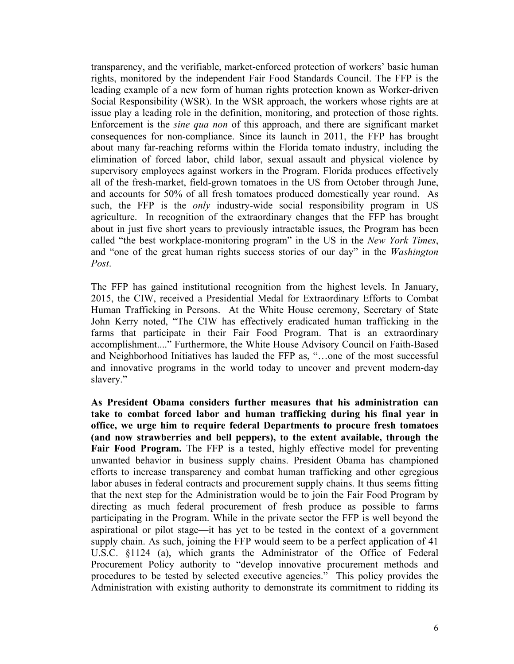transparency, and the verifiable, market-enforced protection of workers' basic human rights, monitored by the independent Fair Food Standards Council. The FFP is the leading example of a new form of human rights protection known as Worker-driven Social Responsibility (WSR). In the WSR approach, the workers whose rights are at issue play a leading role in the definition, monitoring, and protection of those rights. Enforcement is the *sine qua non* of this approach, and there are significant market consequences for non-compliance. Since its launch in 2011, the FFP has brought about many far-reaching reforms within the Florida tomato industry, including the elimination of forced labor, child labor, sexual assault and physical violence by supervisory employees against workers in the Program. Florida produces effectively all of the fresh-market, field-grown tomatoes in the US from October through June, and accounts for 50% of all fresh tomatoes produced domestically year round. As such, the FFP is the *only* industry-wide social responsibility program in US agriculture. In recognition of the extraordinary changes that the FFP has brought about in just five short years to previously intractable issues, the Program has been called "the best workplace-monitoring program" in the US in the *New York Times*, and "one of the great human rights success stories of our day" in the *Washington Post*.

The FFP has gained institutional recognition from the highest levels. In January, 2015, the CIW, received a Presidential Medal for Extraordinary Efforts to Combat Human Trafficking in Persons. At the White House ceremony, Secretary of State John Kerry noted, "The CIW has effectively eradicated human trafficking in the farms that participate in their Fair Food Program. That is an extraordinary accomplishment...." Furthermore, the White House Advisory Council on Faith-Based and Neighborhood Initiatives has lauded the FFP as, "…one of the most successful and innovative programs in the world today to uncover and prevent modern-day slavery."

**As President Obama considers further measures that his administration can take to combat forced labor and human trafficking during his final year in office, we urge him to require federal Departments to procure fresh tomatoes (and now strawberries and bell peppers), to the extent available, through the Fair Food Program.** The FFP is a tested, highly effective model for preventing unwanted behavior in business supply chains. President Obama has championed efforts to increase transparency and combat human trafficking and other egregious labor abuses in federal contracts and procurement supply chains. It thus seems fitting that the next step for the Administration would be to join the Fair Food Program by directing as much federal procurement of fresh produce as possible to farms participating in the Program. While in the private sector the FFP is well beyond the aspirational or pilot stage—it has yet to be tested in the context of a government supply chain. As such, joining the FFP would seem to be a perfect application of 41 U.S.C. §1124 (a), which grants the Administrator of the Office of Federal Procurement Policy authority to "develop innovative procurement methods and procedures to be tested by selected executive agencies." This policy provides the Administration with existing authority to demonstrate its commitment to ridding its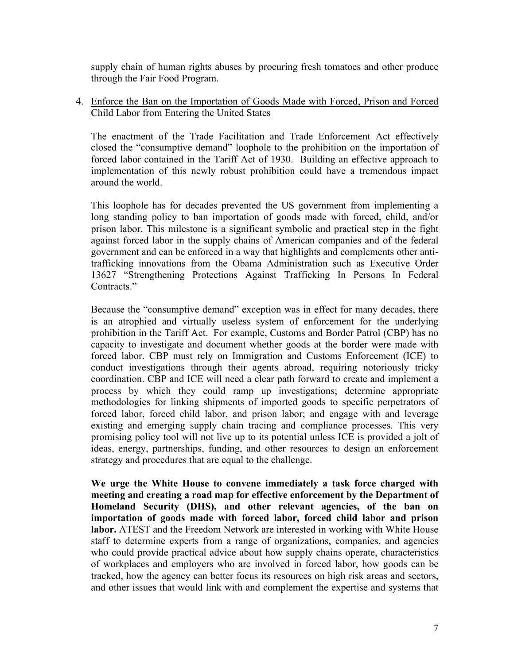supply chain of human rights abuses by procuring fresh tomatoes and other produce through the Fair Food Program.

## 4. Enforce the Ban on the Importation of Goods Made with Forced, Prison and Forced Child Labor from Entering the United States

The enactment of the Trade Facilitation and Trade Enforcement Act effectively closed the "consumptive demand" loophole to the prohibition on the importation of forced labor contained in the Tariff Act of 1930. Building an effective approach to implementation of this newly robust prohibition could have a tremendous impact around the world.

This loophole has for decades prevented the US government from implementing a long standing policy to ban importation of goods made with forced, child, and/or prison labor. This milestone is a significant symbolic and practical step in the fight against forced labor in the supply chains of American companies and of the federal government and can be enforced in a way that highlights and complements other antitrafficking innovations from the Obama Administration such as Executive Order 13627 "Strengthening Protections Against Trafficking In Persons In Federal Contracts."

Because the "consumptive demand" exception was in effect for many decades, there is an atrophied and virtually useless system of enforcement for the underlying prohibition in the Tariff Act. For example, Customs and Border Patrol (CBP) has no capacity to investigate and document whether goods at the border were made with forced labor. CBP must rely on Immigration and Customs Enforcement (ICE) to conduct investigations through their agents abroad, requiring notoriously tricky coordination. CBP and ICE will need a clear path forward to create and implement a process by which they could ramp up investigations; determine appropriate methodologies for linking shipments of imported goods to specific perpetrators of forced labor, forced child labor, and prison labor; and engage with and leverage existing and emerging supply chain tracing and compliance processes. This very promising policy tool will not live up to its potential unless ICE is provided a jolt of ideas, energy, partnerships, funding, and other resources to design an enforcement strategy and procedures that are equal to the challenge.

**We urge the White House to convene immediately a task force charged with meeting and creating a road map for effective enforcement by the Department of Homeland Security (DHS), and other relevant agencies, of the ban on importation of goods made with forced labor, forced child labor and prison labor.** ATEST and the Freedom Network are interested in working with White House staff to determine experts from a range of organizations, companies, and agencies who could provide practical advice about how supply chains operate, characteristics of workplaces and employers who are involved in forced labor, how goods can be tracked, how the agency can better focus its resources on high risk areas and sectors, and other issues that would link with and complement the expertise and systems that